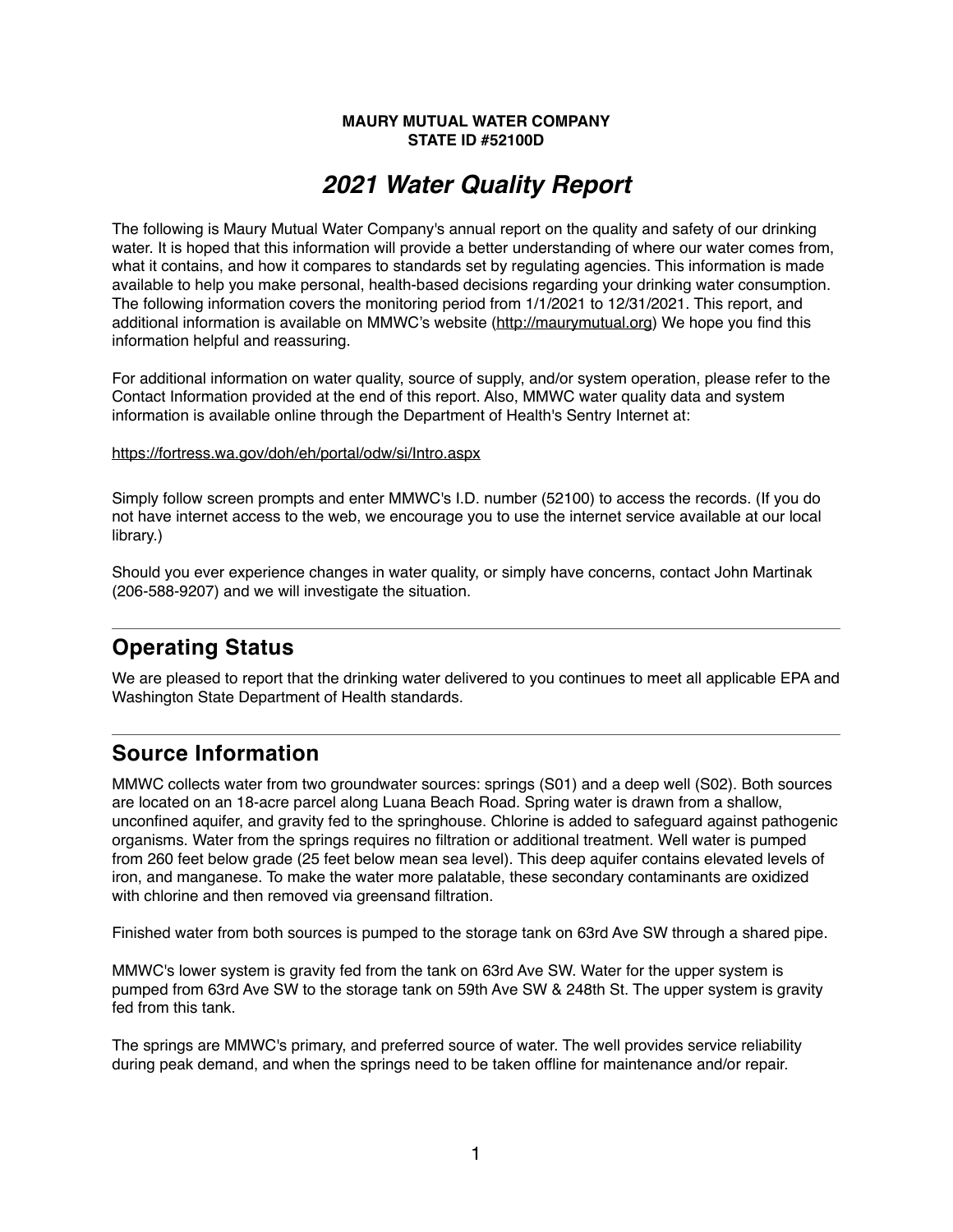#### **MAURY MUTUAL WATER COMPANY STATE ID #52100D**

# *2021 Water Quality Report*

The following is Maury Mutual Water Company's annual report on the quality and safety of our drinking water. It is hoped that this information will provide a better understanding of where our water comes from, what it contains, and how it compares to standards set by regulating agencies. This information is made available to help you make personal, health-based decisions regarding your drinking water consumption. The following information covers the monitoring period from 1/1/2021 to 12/31/2021. This report, and additional information is available on MMWC's website [\(http://maurymutual.org](http://maurymutual.org)) We hope you find this information helpful and reassuring.

For additional information on water quality, source of supply, and/or system operation, please refer to the Contact Information provided at the end of this report. Also, MMWC water quality data and system information is available online through the Department of Health's Sentry Internet at:

#### <https://fortress.wa.gov/doh/eh/portal/odw/si/Intro.aspx>

Simply follow screen prompts and enter MMWC's I.D. number (52100) to access the records. (If you do not have internet access to the web, we encourage you to use the internet service available at our local library.)

Should you ever experience changes in water quality, or simply have concerns, contact John Martinak (206-588-9207) and we will investigate the situation.

# **Operating Status**

We are pleased to report that the drinking water delivered to you continues to meet all applicable EPA and Washington State Department of Health standards.

### **Source Information**

MMWC collects water from two groundwater sources: springs (S01) and a deep well (S02). Both sources are located on an 18-acre parcel along Luana Beach Road. Spring water is drawn from a shallow, unconfined aquifer, and gravity fed to the springhouse. Chlorine is added to safeguard against pathogenic organisms. Water from the springs requires no filtration or additional treatment. Well water is pumped from 260 feet below grade (25 feet below mean sea level). This deep aquifer contains elevated levels of iron, and manganese. To make the water more palatable, these secondary contaminants are oxidized with chlorine and then removed via greensand filtration.

Finished water from both sources is pumped to the storage tank on 63rd Ave SW through a shared pipe.

MMWC's lower system is gravity fed from the tank on 63rd Ave SW. Water for the upper system is pumped from 63rd Ave SW to the storage tank on 59th Ave SW & 248th St. The upper system is gravity fed from this tank.

The springs are MMWC's primary, and preferred source of water. The well provides service reliability during peak demand, and when the springs need to be taken offline for maintenance and/or repair.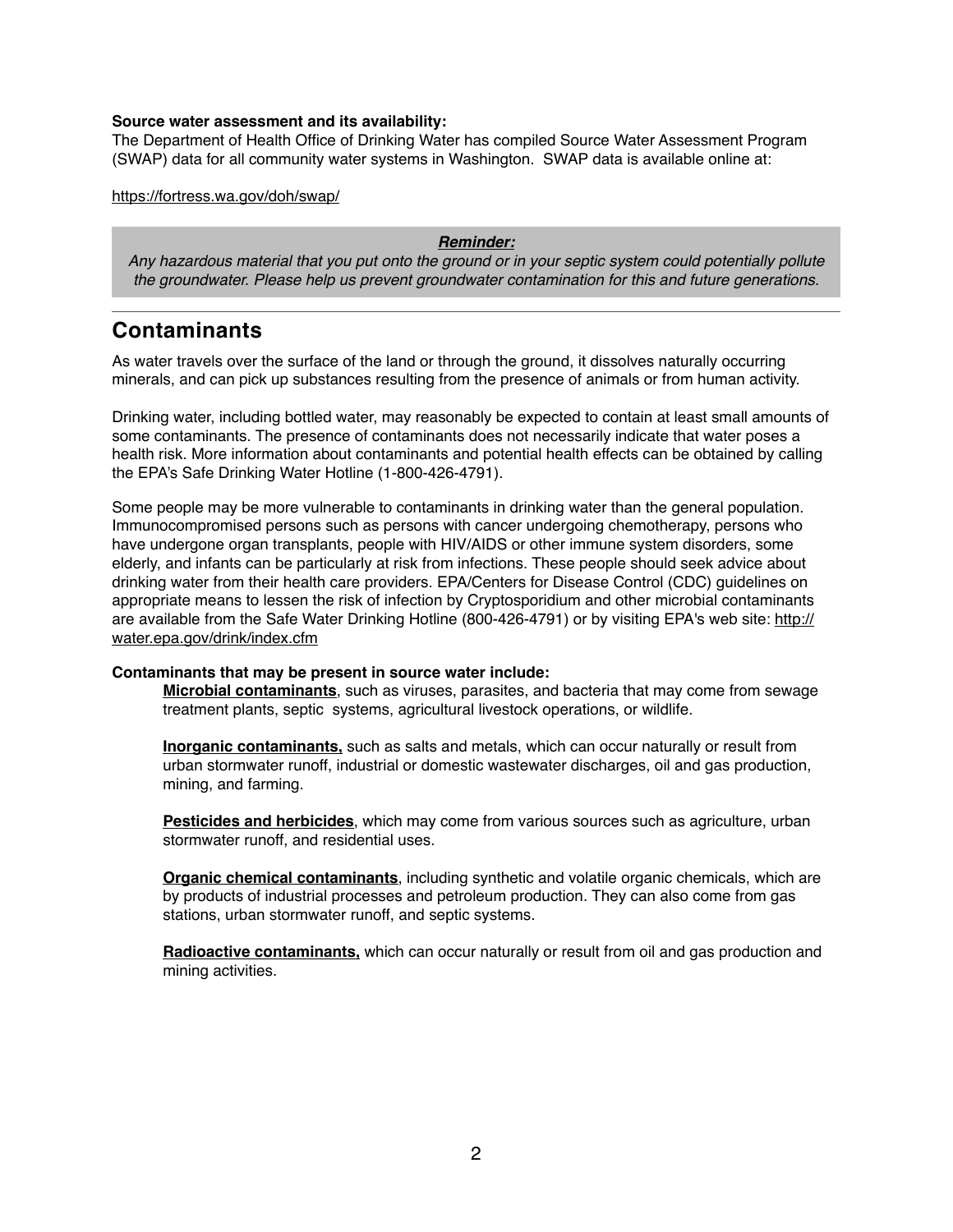#### **Source water assessment and its availability:**

The Department of Health Office of Drinking Water has compiled Source Water Assessment Program (SWAP) data for all community water systems in Washington. SWAP data is available online at:

<https://fortress.wa.gov/doh/swap/>

#### *Reminder:*

*Any hazardous material that you put onto the ground or in your septic system could potentially pollute the groundwater. Please help us prevent groundwater contamination for this and future generations.*

### **Contaminants**

As water travels over the surface of the land or through the ground, it dissolves naturally occurring minerals, and can pick up substances resulting from the presence of animals or from human activity.

Drinking water, including bottled water, may reasonably be expected to contain at least small amounts of some contaminants. The presence of contaminants does not necessarily indicate that water poses a health risk. More information about contaminants and potential health effects can be obtained by calling the EPA's Safe Drinking Water Hotline (1-800-426-4791).

Some people may be more vulnerable to contaminants in drinking water than the general population. Immunocompromised persons such as persons with cancer undergoing chemotherapy, persons who have undergone organ transplants, people with HIV/AIDS or other immune system disorders, some elderly, and infants can be particularly at risk from infections. These people should seek advice about drinking water from their health care providers. EPA/Centers for Disease Control (CDC) guidelines on appropriate means to lessen the risk of infection by Cryptosporidium and other microbial contaminants are available from the Safe Water Drinking Hotline (800-426-4791) or by visiting EPA's web site: [http://](http://water.epa.gov/drink/index.cfm) [water.epa.gov/drink/index.cfm](http://water.epa.gov/drink/index.cfm)

#### **Contaminants that may be present in source water include:**

**Microbial contaminants**, such as viruses, parasites, and bacteria that may come from sewage treatment plants, septic systems, agricultural livestock operations, or wildlife.

**Inorganic contaminants,** such as salts and metals, which can occur naturally or result from urban stormwater runoff, industrial or domestic wastewater discharges, oil and gas production, mining, and farming.

**Pesticides and herbicides**, which may come from various sources such as agriculture, urban stormwater runoff, and residential uses.

**Organic chemical contaminants**, including synthetic and volatile organic chemicals, which are by products of industrial processes and petroleum production. They can also come from gas stations, urban stormwater runoff, and septic systems.

**Radioactive contaminants,** which can occur naturally or result from oil and gas production and mining activities.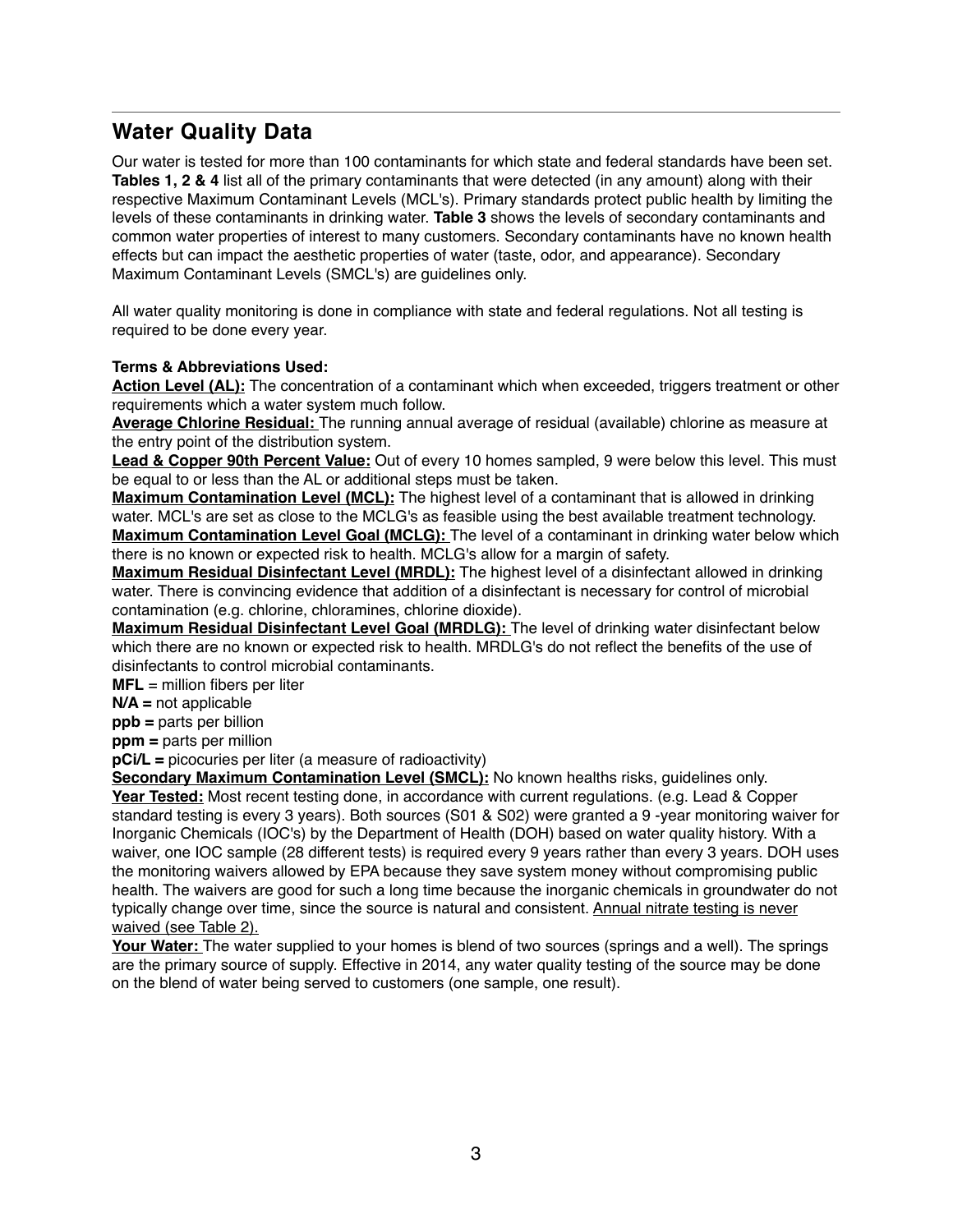# **Water Quality Data**

Our water is tested for more than 100 contaminants for which state and federal standards have been set. **Tables 1, 2 & 4** list all of the primary contaminants that were detected (in any amount) along with their respective Maximum Contaminant Levels (MCL's). Primary standards protect public health by limiting the levels of these contaminants in drinking water. **Table 3** shows the levels of secondary contaminants and common water properties of interest to many customers. Secondary contaminants have no known health effects but can impact the aesthetic properties of water (taste, odor, and appearance). Secondary Maximum Contaminant Levels (SMCL's) are guidelines only.

All water quality monitoring is done in compliance with state and federal regulations. Not all testing is required to be done every year.

#### **Terms & Abbreviations Used:**

**Action Level (AL):** The concentration of a contaminant which when exceeded, triggers treatment or other requirements which a water system much follow.

**Average Chlorine Residual:** The running annual average of residual (available) chlorine as measure at the entry point of the distribution system.

**Lead & Copper 90th Percent Value:** Out of every 10 homes sampled, 9 were below this level. This must be equal to or less than the AL or additional steps must be taken.

**Maximum Contamination Level (MCL):** The highest level of a contaminant that is allowed in drinking water. MCL's are set as close to the MCLG's as feasible using the best available treatment technology. **Maximum Contamination Level Goal (MCLG):** The level of a contaminant in drinking water below which there is no known or expected risk to health. MCLG's allow for a margin of safety.

**Maximum Residual Disinfectant Level (MRDL):** The highest level of a disinfectant allowed in drinking water. There is convincing evidence that addition of a disinfectant is necessary for control of microbial contamination (e.g. chlorine, chloramines, chlorine dioxide).

**Maximum Residual Disinfectant Level Goal (MRDLG):** The level of drinking water disinfectant below which there are no known or expected risk to health. MRDLG's do not reflect the benefits of the use of disinfectants to control microbial contaminants.

**MFL** = million fibers per liter

**N/A =** not applicable

**ppb =** parts per billion

**ppm =** parts per million

**pCi/L =** picocuries per liter (a measure of radioactivity)

**Secondary Maximum Contamination Level (SMCL):** No known healths risks, guidelines only. **Year Tested:** Most recent testing done, in accordance with current regulations. (e.g. Lead & Copper standard testing is every 3 years). Both sources (S01 & S02) were granted a 9 -year monitoring waiver for Inorganic Chemicals (IOC's) by the Department of Health (DOH) based on water quality history. With a waiver, one IOC sample (28 different tests) is required every 9 years rather than every 3 years. DOH uses the monitoring waivers allowed by EPA because they save system money without compromising public health. The waivers are good for such a long time because the inorganic chemicals in groundwater do not typically change over time, since the source is natural and consistent. Annual nitrate testing is never waived (see Table 2).

**Your Water:** The water supplied to your homes is blend of two sources (springs and a well). The springs are the primary source of supply. Effective in 2014, any water quality testing of the source may be done on the blend of water being served to customers (one sample, one result).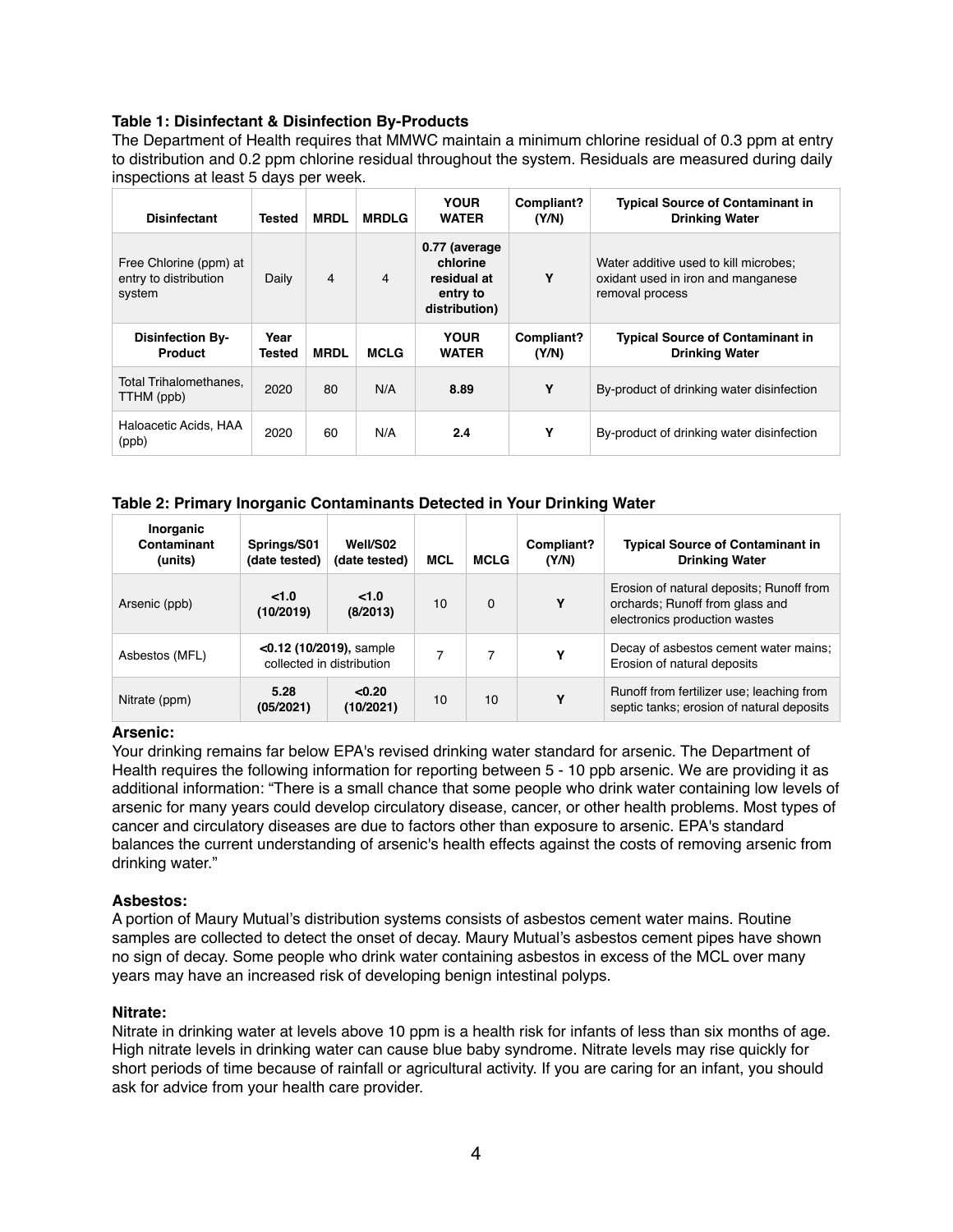#### **Table 1: Disinfectant & Disinfection By-Products**

The Department of Health requires that MMWC maintain a minimum chlorine residual of 0.3 ppm at entry to distribution and 0.2 ppm chlorine residual throughout the system. Residuals are measured during daily inspections at least 5 days per week.

| <b>Disinfectant</b>                                       | Tested         | <b>MRDL</b> | <b>MRDLG</b> | <b>YOUR</b><br><b>WATER</b>                                           | Compliant?<br>(Y/N) | <b>Typical Source of Contaminant in</b><br><b>Drinking Water</b>                               |
|-----------------------------------------------------------|----------------|-------------|--------------|-----------------------------------------------------------------------|---------------------|------------------------------------------------------------------------------------------------|
| Free Chlorine (ppm) at<br>entry to distribution<br>system | Daily          | 4           | 4            | 0.77 (average<br>chlorine<br>residual at<br>entry to<br>distribution) | Υ                   | Water additive used to kill microbes:<br>oxidant used in iron and manganese<br>removal process |
|                                                           |                |             |              |                                                                       |                     |                                                                                                |
| <b>Disinfection By-</b><br><b>Product</b>                 | Year<br>Tested | <b>MRDL</b> | <b>MCLG</b>  | <b>YOUR</b><br><b>WATER</b>                                           | Compliant?<br>(Y/N) | <b>Typical Source of Contaminant in</b><br><b>Drinking Water</b>                               |
| <b>Total Trihalomethanes.</b><br>TTHM (ppb)               | 2020           | 80          | N/A          | 8.89                                                                  | Υ                   | By-product of drinking water disinfection                                                      |

#### **Table 2: Primary Inorganic Contaminants Detected in Your Drinking Water**

| Inorganic<br>Contaminant<br>(units) | Springs/S01<br>(date tested)                            | Well/S02<br>(date tested) | <b>MCL</b> | <b>MCLG</b> | Compliant?<br>(Y/N) | <b>Typical Source of Contaminant in</b><br><b>Drinking Water</b>                                             |
|-------------------------------------|---------------------------------------------------------|---------------------------|------------|-------------|---------------------|--------------------------------------------------------------------------------------------------------------|
| Arsenic (ppb)                       | < 1.0<br>(10/2019)                                      | < 1.0<br>(8/2013)         | 10         | $\Omega$    | Y                   | Erosion of natural deposits; Runoff from<br>orchards; Runoff from glass and<br>electronics production wastes |
| Asbestos (MFL)                      | $<$ 0.12 (10/2019), sample<br>collected in distribution |                           |            | 7           | Υ                   | Decay of asbestos cement water mains;<br>Erosion of natural deposits                                         |
| Nitrate (ppm)                       | 5.28<br>(05/2021)                                       | < 0.20<br>(10/2021)       | 10         | 10          | Υ                   | Runoff from fertilizer use; leaching from<br>septic tanks; erosion of natural deposits                       |

#### **Arsenic:**

Your drinking remains far below EPA's revised drinking water standard for arsenic. The Department of Health requires the following information for reporting between 5 - 10 ppb arsenic. We are providing it as additional information: "There is a small chance that some people who drink water containing low levels of arsenic for many years could develop circulatory disease, cancer, or other health problems. Most types of cancer and circulatory diseases are due to factors other than exposure to arsenic. EPA's standard balances the current understanding of arsenic's health effects against the costs of removing arsenic from drinking water."

#### **Asbestos:**

A portion of Maury Mutual's distribution systems consists of asbestos cement water mains. Routine samples are collected to detect the onset of decay. Maury Mutual's asbestos cement pipes have shown no sign of decay. Some people who drink water containing asbestos in excess of the MCL over many years may have an increased risk of developing benign intestinal polyps.

#### **Nitrate:**

Nitrate in drinking water at levels above 10 ppm is a health risk for infants of less than six months of age. High nitrate levels in drinking water can cause blue baby syndrome. Nitrate levels may rise quickly for short periods of time because of rainfall or agricultural activity. If you are caring for an infant, you should ask for advice from your health care provider.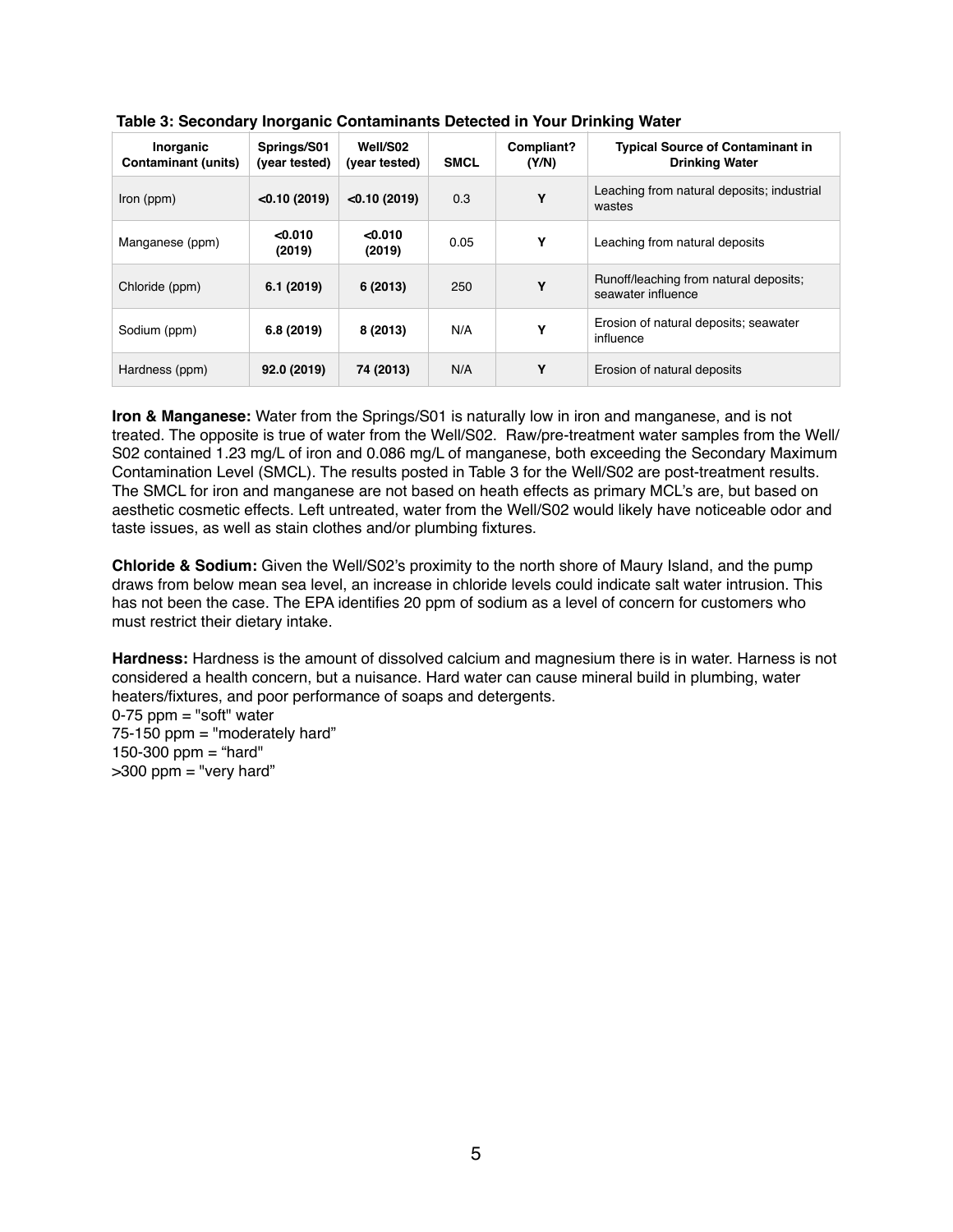| Inorganic<br><b>Contaminant (units)</b> | Springs/S01<br>(year tested) | Well/S02<br>(year tested) | <b>SMCL</b> | Compliant?<br>(Y/N) | <b>Typical Source of Contaminant in</b><br><b>Drinking Water</b> |
|-----------------------------------------|------------------------------|---------------------------|-------------|---------------------|------------------------------------------------------------------|
| Iron (ppm)                              | < 0.10(2019)                 | < 0.10(2019)              | 0.3         | Y                   | Leaching from natural deposits; industrial<br>wastes             |
| Manganese (ppm)                         | < 0.010<br>(2019)            | < 0.010<br>(2019)         | 0.05        | Υ                   | Leaching from natural deposits                                   |
| Chloride (ppm)                          | 6.1(2019)                    | 6(2013)                   | 250         | Υ                   | Runoff/leaching from natural deposits;<br>seawater influence     |
| Sodium (ppm)                            | 6.8(2019)                    | 8 (2013)                  | N/A         | Υ                   | Erosion of natural deposits; seawater<br>influence               |
| Hardness (ppm)                          | 92.0 (2019)                  | 74 (2013)                 | N/A         | Υ                   | Erosion of natural deposits                                      |

| Table 3: Secondary Inorganic Contaminants Detected in Your Drinking Water |
|---------------------------------------------------------------------------|
|---------------------------------------------------------------------------|

**Iron & Manganese:** Water from the Springs/S01 is naturally low in iron and manganese, and is not treated. The opposite is true of water from the Well/S02. Raw/pre-treatment water samples from the Well/ S02 contained 1.23 mg/L of iron and 0.086 mg/L of manganese, both exceeding the Secondary Maximum Contamination Level (SMCL). The results posted in Table 3 for the Well/S02 are post-treatment results. The SMCL for iron and manganese are not based on heath effects as primary MCL's are, but based on aesthetic cosmetic effects. Left untreated, water from the Well/S02 would likely have noticeable odor and taste issues, as well as stain clothes and/or plumbing fixtures.

**Chloride & Sodium:** Given the Well/S02's proximity to the north shore of Maury Island, and the pump draws from below mean sea level, an increase in chloride levels could indicate salt water intrusion. This has not been the case. The EPA identifies 20 ppm of sodium as a level of concern for customers who must restrict their dietary intake.

**Hardness:** Hardness is the amount of dissolved calcium and magnesium there is in water. Harness is not considered a health concern, but a nuisance. Hard water can cause mineral build in plumbing, water heaters/fixtures, and poor performance of soaps and detergents.

 $0-75$  ppm = "soft" water 75-150 ppm = "moderately hard" 150-300 ppm = "hard"  $>300$  ppm = "very hard"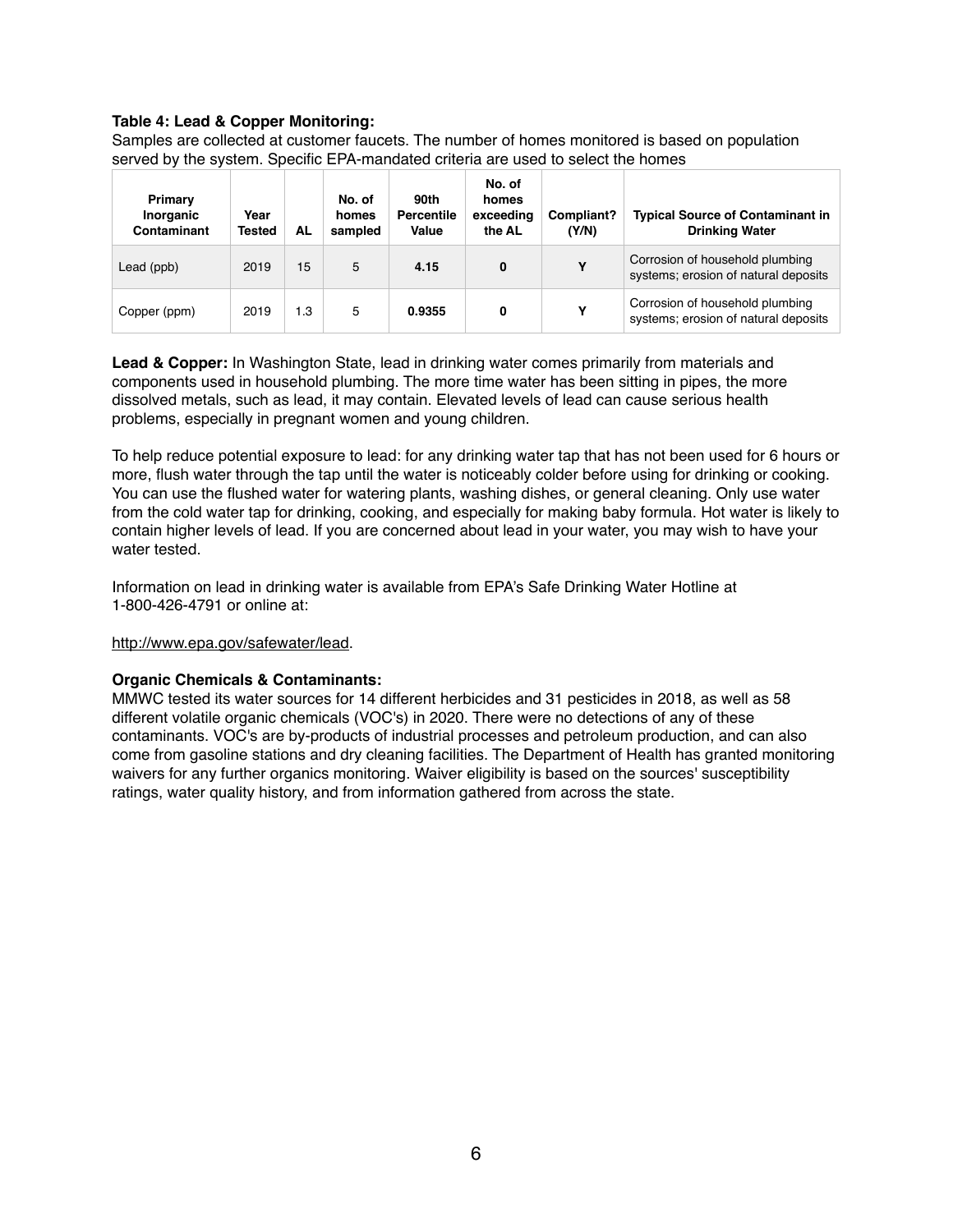#### **Table 4: Lead & Copper Monitoring:**

Samples are collected at customer faucets. The number of homes monitored is based on population served by the system. Specific EPA-mandated criteria are used to select the homes

| Primary<br>Inorganic<br>Contaminant | Year<br><b>Tested</b> | AL  | No. of<br>homes<br>sampled | 90th<br><b>Percentile</b><br>Value | No. of<br>homes<br>exceeding<br>the AL | Compliant?<br>(Y/N) | <b>Typical Source of Contaminant in</b><br><b>Drinking Water</b>        |
|-------------------------------------|-----------------------|-----|----------------------------|------------------------------------|----------------------------------------|---------------------|-------------------------------------------------------------------------|
| Lead (ppb)                          | 2019                  | 15  | 5                          | 4.15                               | 0                                      | Υ                   | Corrosion of household plumbing<br>systems; erosion of natural deposits |
| Copper (ppm)                        | 2019                  | 1.3 | 5                          | 0.9355                             | 0                                      | Υ                   | Corrosion of household plumbing<br>systems; erosion of natural deposits |

**Lead & Copper:** In Washington State, lead in drinking water comes primarily from materials and components used in household plumbing. The more time water has been sitting in pipes, the more dissolved metals, such as lead, it may contain. Elevated levels of lead can cause serious health problems, especially in pregnant women and young children.

To help reduce potential exposure to lead: for any drinking water tap that has not been used for 6 hours or more, flush water through the tap until the water is noticeably colder before using for drinking or cooking. You can use the flushed water for watering plants, washing dishes, or general cleaning. Only use water from the cold water tap for drinking, cooking, and especially for making baby formula. Hot water is likely to contain higher levels of lead. If you are concerned about lead in your water, you may wish to have your water tested.

Information on lead in drinking water is available from EPA's Safe Drinking Water Hotline at 1-800-426-4791 or online at:

#### <http://www.epa.gov/safewater/lead>.

#### **Organic Chemicals & Contaminants:**

MMWC tested its water sources for 14 different herbicides and 31 pesticides in 2018, as well as 58 different volatile organic chemicals (VOC's) in 2020. There were no detections of any of these contaminants. VOC's are by-products of industrial processes and petroleum production, and can also come from gasoline stations and dry cleaning facilities. The Department of Health has granted monitoring waivers for any further organics monitoring. Waiver eligibility is based on the sources' susceptibility ratings, water quality history, and from information gathered from across the state.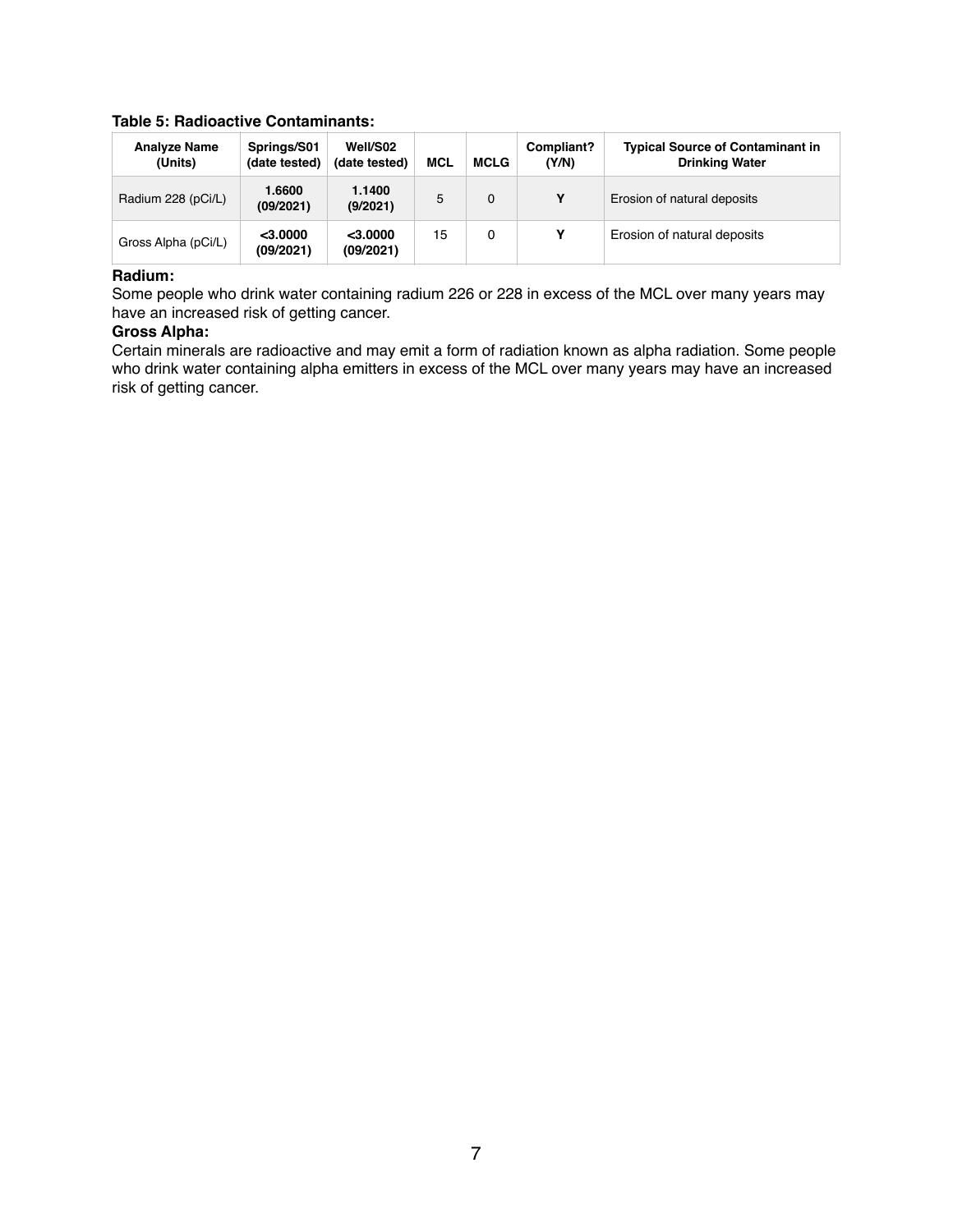#### **Table 5: Radioactive Contaminants:**

| <b>Analyze Name</b><br>(Units) | Springs/S01<br>(date tested) | Well/S02<br>(date tested) | <b>MCL</b> | MCLG     | Compliant?<br>(Y/N) | <b>Typical Source of Contaminant in</b><br><b>Drinking Water</b> |
|--------------------------------|------------------------------|---------------------------|------------|----------|---------------------|------------------------------------------------------------------|
| Radium 228 (pCi/L)             | 1.6600<br>(09/2021)          | 1.1400<br>(9/2021)        | 5          | $\Omega$ | Υ                   | Erosion of natural deposits                                      |
| Gross Alpha (pCi/L)            | $<$ 3.0000<br>(09/2021)      | $<$ 3.0000<br>(09/2021)   | 15         | 0        | Υ                   | Erosion of natural deposits                                      |

#### **Radium:**

Some people who drink water containing radium 226 or 228 in excess of the MCL over many years may have an increased risk of getting cancer.

#### **Gross Alpha:**

Certain minerals are radioactive and may emit a form of radiation known as alpha radiation. Some people who drink water containing alpha emitters in excess of the MCL over many years may have an increased risk of getting cancer.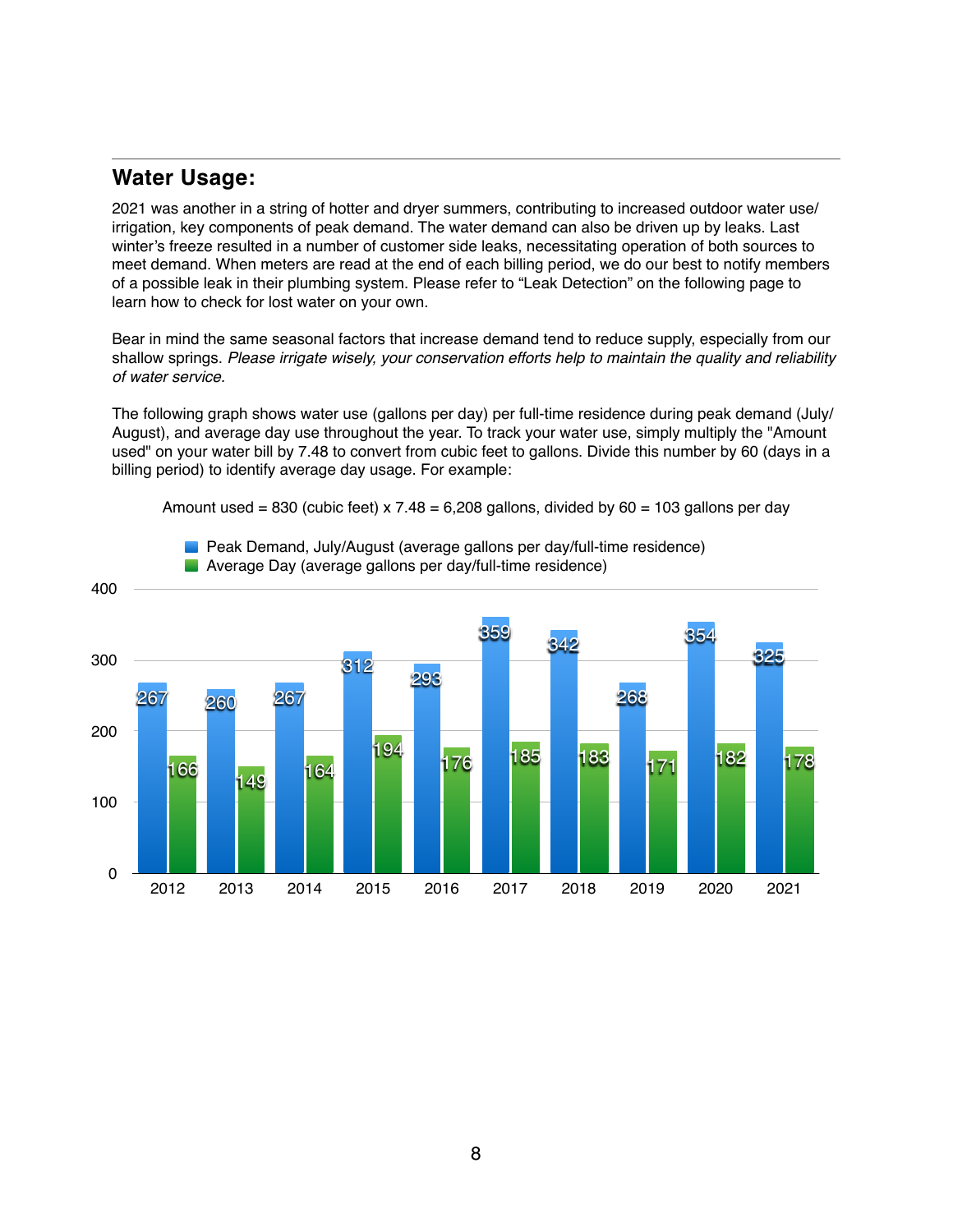### **Water Usage:**

2021 was another in a string of hotter and dryer summers, contributing to increased outdoor water use/ irrigation, key components of peak demand. The water demand can also be driven up by leaks. Last winter's freeze resulted in a number of customer side leaks, necessitating operation of both sources to meet demand. When meters are read at the end of each billing period, we do our best to notify members of a possible leak in their plumbing system. Please refer to "Leak Detection" on the following page to learn how to check for lost water on your own.

Bear in mind the same seasonal factors that increase demand tend to reduce supply, especially from our shallow springs. *Please irrigate wisely, your conservation efforts help to maintain the quality and reliability of water service.*

The following graph shows water use (gallons per day) per full-time residence during peak demand (July/ August), and average day use throughout the year. To track your water use, simply multiply the "Amount used" on your water bill by 7.48 to convert from cubic feet to gallons. Divide this number by 60 (days in a billing period) to identify average day usage. For example:

Amount used = 830 (cubic feet) x  $7.48 = 6,208$  gallons, divided by  $60 = 103$  gallons per day



**Peak Demand, July/August (average gallons per day/full-time residence)**